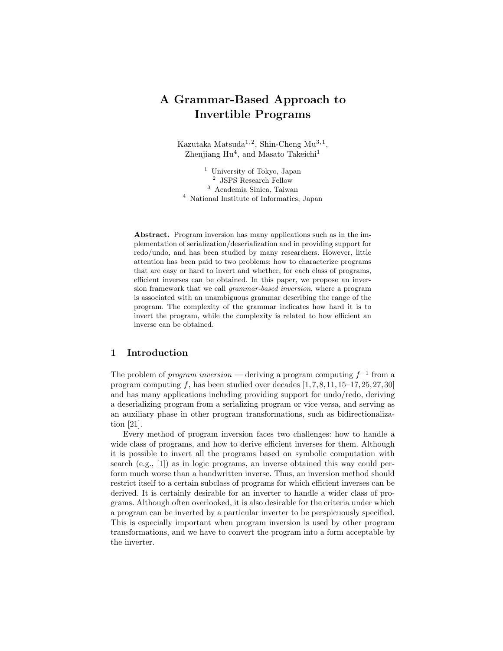# **A Grammar-Based Approach to Invertible Programs**

Kazutaka Matsuda<sup>1</sup>*,*<sup>2</sup> , Shin-Cheng Mu<sup>3</sup>*,*<sup>1</sup> , Zhenjiang  $Hu^4$ , and Masato Takeichi<sup>1</sup>

 University of Tokyo, Japan JSPS Research Fellow Academia Sinica, Taiwan National Institute of Informatics, Japan

**Abstract.** Program inversion has many applications such as in the implementation of serialization/deserialization and in providing support for redo/undo, and has been studied by many researchers. However, little attention has been paid to two problems: how to characterize programs that are easy or hard to invert and whether, for each class of programs, efficient inverses can be obtained. In this paper, we propose an inversion framework that we call *grammar-based inversion*, where a program is associated with an unambiguous grammar describing the range of the program. The complexity of the grammar indicates how hard it is to invert the program, while the complexity is related to how efficient an inverse can be obtained.

### **1 Introduction**

The problem of *program inversion* — deriving a program computing *f −*1 from a program computing  $f$ , has been studied over decades  $[1, 7, 8, 11, 15-17, 25, 27, 30]$ and has many applications including providing support for undo/redo, deriving a deserializing program from a serializing program or vice versa, and serving as an auxiliary phase in other program transformations, such as bidirectionalization [21].

Every method of program inversion faces two challenges: how to handle a wide class of programs, and how to derive efficient inverses for them. Although it is possible to invert all the programs based on symbolic computation with search (e.g., [1]) as in logic programs, an inverse obtained this way could perform much worse than a handwritten inverse. Thus, an inversion method should restrict itself to a certain subclass of programs for which efficient inverses can be derived. It is certainly desirable for an inverter to handle a wider class of programs. Although often overlooked, it is also desirable for the criteria under which a program can be inverted by a particular inverter to be perspicuously specified. This is especially important when program inversion is used by other program transformations, and we have to convert the program into a form acceptable by the inverter.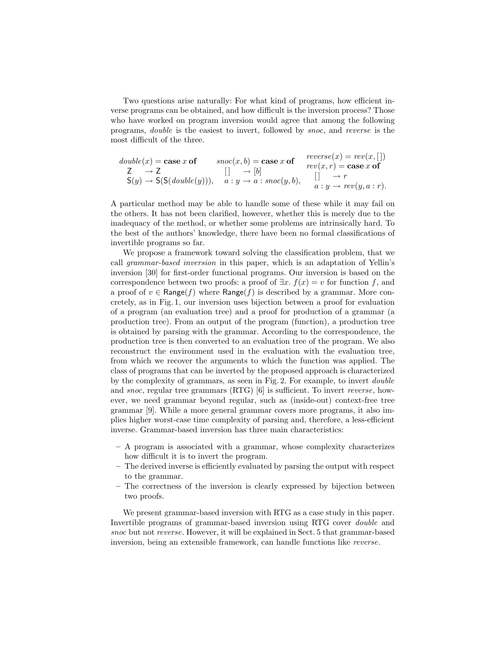Two questions arise naturally: For what kind of programs, how efficient inverse programs can be obtained, and how difficult is the inversion process? Those who have worked on program inversion would agree that among the following programs, *double* is the easiest to invert, followed by *snoc*, and *reverse* is the most difficult of the three.

$$
double(x) = \text{case } x \text{ of } \text{succ}(x, b) = \text{case } x \text{ of } \text{reverse}(x) = rev(x, [])
$$
\n
$$
Z \rightarrow Z \text{ } [ ] \rightarrow [b] \text{ } rev(x, r) = \text{case } x \text{ of } \text{ } \text{rev}(x, c) = rev(x, [])
$$
\n
$$
S(y) \rightarrow S(S(double(y))), \quad a: y \rightarrow a: snoc(y, b), \quad [ ] \rightarrow r \text{ } av(y, a: r).
$$

A particular method may be able to handle some of these while it may fail on the others. It has not been clarified, however, whether this is merely due to the inadequacy of the method, or whether some problems are intrinsically hard. To the best of the authors' knowledge, there have been no formal classifications of invertible programs so far.

We propose a framework toward solving the classification problem, that we call *grammar-based inversion* in this paper, which is an adaptation of Yellin's inversion [30] for first-order functional programs. Our inversion is based on the correspondence between two proofs: a proof of  $\exists x. f(x) = v$  for function *f*, and a proof of  $v \in \text{Range}(f)$  where  $\text{Range}(f)$  is described by a grammar. More concretely, as in Fig. 1, our inversion uses bijection between a proof for evaluation of a program (an evaluation tree) and a proof for production of a grammar (a production tree). From an output of the program (function), a production tree is obtained by parsing with the grammar. According to the correspondence, the production tree is then converted to an evaluation tree of the program. We also reconstruct the environment used in the evaluation with the evaluation tree, from which we recover the arguments to which the function was applied. The class of programs that can be inverted by the proposed approach is characterized by the complexity of grammars, as seen in Fig. 2. For example, to invert *double* and *snoc*, regular tree grammars (RTG) [6] is sufficient. To invert *reverse*, however, we need grammar beyond regular, such as (inside-out) context-free tree grammar [9]. While a more general grammar covers more programs, it also implies higher worst-case time complexity of parsing and, therefore, a less-efficient inverse. Grammar-based inversion has three main characteristics:

- **–** A program is associated with a grammar, whose complexity characterizes how difficult it is to invert the program.
- **–** The derived inverse is efficiently evaluated by parsing the output with respect to the grammar.
- **–** The correctness of the inversion is clearly expressed by bijection between two proofs.

We present grammar-based inversion with RTG as a case study in this paper. Invertible programs of grammar-based inversion using RTG cover *double* and *snoc* but not *reverse*. However, it will be explained in Sect. 5 that grammar-based inversion, being an extensible framework, can handle functions like *reverse*.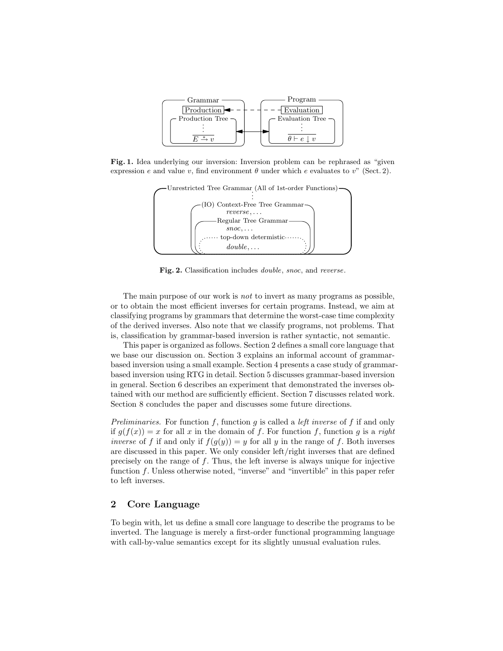

Fig. 1. Idea underlying our inversion: Inversion problem can be rephrased as "given" expression *e* and value *v*, find environment  $\theta$  under which *e* evaluates to *v*" (Sect. 2).



**Fig. 2.** Classification includes *double*, *snoc*, and *reverse*.

The main purpose of our work is *not* to invert as many programs as possible, or to obtain the most efficient inverses for certain programs. Instead, we aim at classifying programs by grammars that determine the worst-case time complexity of the derived inverses. Also note that we classify programs, not problems. That is, classification by grammar-based inversion is rather syntactic, not semantic.

This paper is organized as follows. Section 2 defines a small core language that we base our discussion on. Section 3 explains an informal account of grammarbased inversion using a small example. Section 4 presents a case study of grammarbased inversion using RTG in detail. Section 5 discusses grammar-based inversion in general. Section 6 describes an experiment that demonstrated the inverses obtained with our method are sufficiently efficient. Section 7 discusses related work. Section 8 concludes the paper and discusses some future directions.

*Preliminaries.* For function *f*, function *g* is called a *left inverse* of *f* if and only if  $g(f(x)) = x$  for all x in the domain of f. For function f, function g is a *right inverse* of *f* if and only if  $f(g(y)) = y$  for all *y* in the range of *f*. Both inverses are discussed in this paper. We only consider left/right inverses that are defined precisely on the range of *f*. Thus, the left inverse is always unique for injective function *f*. Unless otherwise noted, "inverse" and "invertible" in this paper refer to left inverses.

## **2 Core Language**

To begin with, let us define a small core language to describe the programs to be inverted. The language is merely a first-order functional programming language with call-by-value semantics except for its slightly unusual evaluation rules.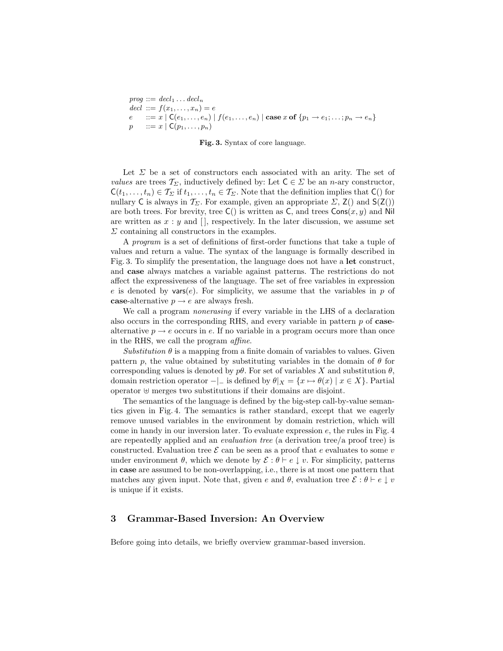$prog ::= decl_1 \dots decl_n$ *decl* ::=  $f(x_1, ..., x_n) = e$  $e$  :  $x \mid C(e_1,...,e_n) \mid f(e_1,...,e_n) \mid \text{case } x \text{ of } \{p_1 \to e_1; \ldots; p_n \to e_n\}$  $p$  ::=  $x \mid C(p_1, ..., p_n)$ 



Let  $\Sigma$  be a set of constructors each associated with an arity. The set of *values* are trees  $\mathcal{T}_{\Sigma}$ , inductively defined by: Let  $C \in \Sigma$  be an *n*-ary constructor,  $C(t_1, \ldots, t_n) \in T_\Sigma$  if  $t_1, \ldots, t_n \in T_\Sigma$ . Note that the definition implies that  $C()$  for nullary C is always in  $\mathcal{T}_{\Sigma}$ . For example, given an appropriate  $\Sigma$ ,  $\mathsf{Z}$ () and  $\mathsf{S}(\mathsf{Z}(0))$ are both trees. For brevity, tree  $C()$  is written as  $C$ , and trees  $Cons(x, y)$  and Nil are written as  $x : y$  and  $\Box$ , respectively. In the later discussion, we assume set *Σ* containing all constructors in the examples.

A *program* is a set of definitions of first-order functions that take a tuple of values and return a value. The syntax of the language is formally described in Fig. 3. To simplify the presentation, the language does not have a **let** construct, and **case** always matches a variable against patterns. The restrictions do not affect the expressiveness of the language. The set of free variables in expression *e* is denoted by vars(*e*). For simplicity, we assume that the variables in *p* of **case**-alternative  $p \rightarrow e$  are always fresh.

We call a program *nonerasing* if every variable in the LHS of a declaration also occurs in the corresponding RHS, and every variable in pattern *p* of **case**alternative  $p \rightarrow e$  occurs in *e*. If no variable in a program occurs more than once in the RHS, we call the program *affine*.

 $Substitution \theta$  is a mapping from a finite domain of variables to values. Given pattern *p*, the value obtained by substituting variables in the domain of  $\theta$  for corresponding values is denoted by  $p\theta$ . For set of variables *X* and substitution  $\theta$ , domain restriction operator  $-|_$  is defined by  $\theta|_X = \{x \mapsto \theta(x) \mid x \in X\}$ . Partial operator  $\uplus$  merges two substitutions if their domains are disjoint.

The semantics of the language is defined by the big-step call-by-value semantics given in Fig. 4. The semantics is rather standard, except that we eagerly remove unused variables in the environment by domain restriction, which will come in handy in our inversion later. To evaluate expression *e*, the rules in Fig. 4 are repeatedly applied and an *evaluation tree* (a derivation tree/a proof tree) is constructed. Evaluation tree  $\mathcal E$  can be seen as a proof that *e* evaluates to some *v* under environment  $\theta$ , which we denote by  $\mathcal{E} : \theta \vdash e \downarrow v$ . For simplicity, patterns in **case** are assumed to be non-overlapping, i.e., there is at most one pattern that matches any given input. Note that, given *e* and  $\theta$ , evaluation tree  $\mathcal{E} : \theta \vdash e \downarrow v$ is unique if it exists.

### **3 Grammar-Based Inversion: An Overview**

Before going into details, we briefly overview grammar-based inversion.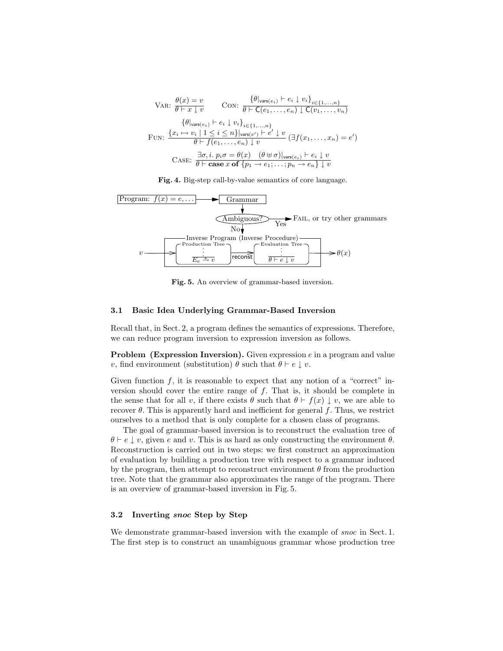VAR: 
$$
\frac{\theta(x) = v}{\theta \vdash x \downarrow v}
$$
 CON: 
$$
\frac{\{\theta|_{\text{vars}(e_i)} \vdash e_i \downarrow v_i\}_{i \in \{1, \ldots, n\}}}{\theta \vdash \mathsf{C}(e_1, \ldots, e_n) \downarrow \mathsf{C}(v_1, \ldots, v_n)}
$$

\nFlow: 
$$
\frac{\{x_i \mapsto v_i \mid 1 \leq i \leq n\}_{\text{vars}(e')} \vdash e' \downarrow v}{\theta \vdash f(e_1, \ldots, e_n) \downarrow v}
$$
 
$$
\frac{\exists \sigma, i. \ p_i \sigma = \theta(x) \quad (\theta \uplus \sigma)|_{\text{vars}(e_i)} \vdash e_i \downarrow v}{\theta \vdash \text{case } x \text{ of } \{p_1 \rightarrow e_1; \ldots; p_n \rightarrow e_n\} \downarrow v}
$$





**Fig. 5.** An overview of grammar-based inversion.

#### **3.1 Basic Idea Underlying Grammar-Based Inversion**

Recall that, in Sect. 2, a program defines the semantics of expressions. Therefore, we can reduce program inversion to expression inversion as follows.

**Problem** (Expression Inversion). Given expression *e* in a program and value *v*, find environment (substitution)  $θ$  such that  $θ$   $\vdash e$   $\downarrow v$ .

Given function f, it is reasonable to expect that any notion of a "correct" inversion should cover the entire range of *f*. That is, it should be complete in the sense that for all *v*, if there exists  $\theta$  such that  $\theta \vdash f(x) \downarrow v$ , we are able to recover *θ*. This is apparently hard and inefficient for general *f*. Thus, we restrict ourselves to a method that is only complete for a chosen class of programs.

The goal of grammar-based inversion is to reconstruct the evaluation tree of  $\theta \vdash e \downarrow v$ , given *e* and *v*. This is as hard as only constructing the environment  $\theta$ . Reconstruction is carried out in two steps: we first construct an approximation of evaluation by building a production tree with respect to a grammar induced by the program, then attempt to reconstruct environment  $\theta$  from the production tree. Note that the grammar also approximates the range of the program. There is an overview of grammar-based inversion in Fig. 5.

#### **3.2 Inverting** *snoc* **Step by Step**

We demonstrate grammar-based inversion with the example of *snoc* in Sect. 1. The first step is to construct an unambiguous grammar whose production tree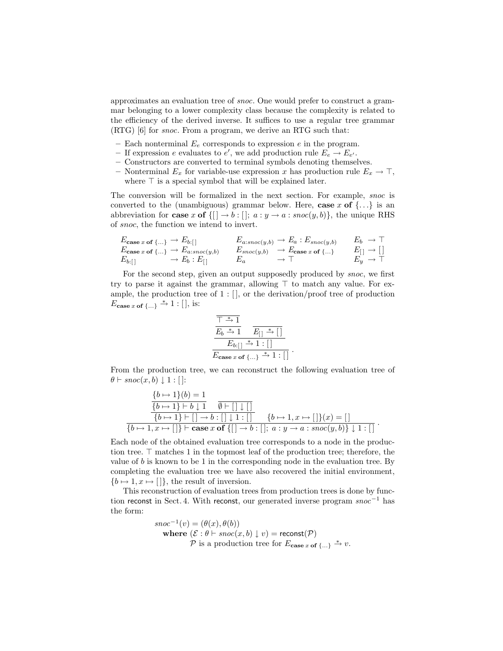approximates an evaluation tree of *snoc*. One would prefer to construct a grammar belonging to a lower complexity class because the complexity is related to the efficiency of the derived inverse. It suffices to use a regular tree grammar (RTG) [6] for *snoc*. From a program, we derive an RTG such that:

- $-$  Each nonterminal  $E_e$  corresponds to expression  $e$  in the program.
- − If expression *e* evaluates to *e'*, we add production rule  $E_e$  →  $E_e$ .
- **–** Constructors are converted to terminal symbols denoting themselves.
- **–** Nonterminal *E<sup>x</sup>* for variable-use expression *x* has production rule *E<sup>x</sup> → >*, where  $\top$  is a special symbol that will be explained later.

The conversion will be formalized in the next section. For example, *snoc* is converted to the (unambiguous) grammar below. Here, **case**  $x$  of  $\{... \}$  is an abbreviation for **case** *x* **of**  $\{[] \rightarrow b : [|; a : y \rightarrow a : snoc(y, b)]\}$ , the unique RHS of *snoc*, the function we intend to invert.

$$
E_{\text{case }x \text{ of } \{\dots\}} \to E_{b:[]} \qquad E_{a:snoc(y,b)} \to E_a : E_{snoc(y,b)} \qquad E_b \to \top
$$
  
\n
$$
E_{\text{case }x \text{ of } \{\dots\}} \to E_{a:snoc(y,b)} \qquad E_{snoc(y,b)} \to E_{\text{case }x \text{ of } \{\dots\}} \qquad E_{[]} \to []
$$
  
\n
$$
E_{b:[]} \to E_b : E_{[]} \qquad E_a \qquad \to \top \qquad E_y \to \top
$$

For the second step, given an output supposedly produced by *snoc*, we first try to parse it against the grammar, allowing  $\top$  to match any value. For example, the production tree of  $1: []$ , or the derivation/proof tree of production  $E_{\case x \text{ of } \{... \}} \stackrel{*}{\rightarrow} 1 : []$ , is:

$$
\frac{\frac{\overline{\top} \cdot * \cdot 1}{E_b \cdot * \cdot 1} \cdot E_{[]} \cdot * \cdot \boxed{\cdot}}{E_{b:[]} \cdot * \cdot 1 : []}
$$
\n
$$
\frac{\overline{E}_{\text{case } x \text{ of } \{...\}} * \cdot 1 : []}{E_{\text{case } x \text{ of } \{...\}} * 1 : []}.
$$

From the production tree, we can reconstruct the following evaluation tree of  $\theta \vdash snoc(x, b) \downarrow 1 : []$ :

$$
\frac{\{b \mapsto 1\}(b) = 1}{\{b \mapsto 1\} \vdash b \downarrow 1} \quad \frac{\emptyset \vdash [\ ] \downarrow [ ]}{\emptyset \vdash 1 \} \vdash [\ ] \to b : [\ ] \downarrow 1 : [\ ]} \quad \{b \mapsto 1, x \mapsto [\ ]\}(x) = [\ ]}{\{b \mapsto 1, x \mapsto [\ ]\} \vdash \text{case } x \text{ of } \{ [\ ] \to b : [\ ]; \ a : y \to a : \mathit{succ}(y, b)\} \downarrow 1 : [\ ]}.
$$

Each node of the obtained evaluation tree corresponds to a node in the production tree.  $\top$  matches 1 in the topmost leaf of the production tree; therefore, the value of  $b$  is known to be 1 in the corresponding node in the evaluation tree. By completing the evaluation tree we have also recovered the initial environment,  ${b \mapsto 1, x \mapsto [\ ]}$ , the result of inversion.

This reconstruction of evaluation trees from production trees is done by function reconst in Sect. 4. With reconst, our generated inverse program *snoc<sup>−</sup>*<sup>1</sup> has the form:

> $snoc^{-1}(v) = (\theta(x), \theta(b))$ **where**  $(\mathcal{E} : \theta \vdash snoc(x, b) \downarrow v) = \text{reconst}(\mathcal{P})$  $\mathcal{P}$  is a production tree for  $E_{\text{case }x \text{ of } \{\dots\}} \stackrel{*}{\rightarrow} v.$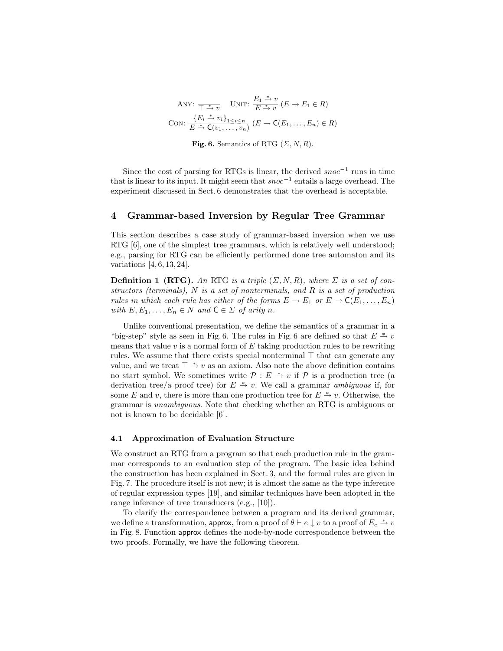$$
\text{ANY: } \frac{E_1 \stackrel{*}{\to} v}{E \stackrel{*}{\to} v} \text{UNIT: } \frac{E_1 \stackrel{*}{\to} v}{E \stackrel{*}{\to} v} (E \to E_1 \in R)
$$
\n
$$
\text{CON: } \frac{\{E_i \stackrel{*}{\to} v_i\}_{1 \le i \le n}}{E \stackrel{*}{\to} C(v_1, \dots, v_n)} (E \to C(E_1, \dots, E_n) \in R)
$$

**Fig. 6.** Semantics of RTG  $(\Sigma, N, R)$ .

Since the cost of parsing for RTGs is linear, the derived *snoc<sup>−</sup>*<sup>1</sup> runs in time that is linear to its input. It might seem that *snoc<sup>−</sup>*<sup>1</sup> entails a large overhead. The experiment discussed in Sect. 6 demonstrates that the overhead is acceptable.

### **4 Grammar-based Inversion by Regular Tree Grammar**

This section describes a case study of grammar-based inversion when we use RTG [6], one of the simplest tree grammars, which is relatively well understood; e.g., parsing for RTG can be efficiently performed done tree automaton and its variations  $[4, 6, 13, 24]$ .

**Definition 1 (RTG).** An RTG is a triple  $(\Sigma, N, R)$ , where  $\Sigma$  is a set of con*structors (terminals), N is a set of nonterminals, and R is a set of production rules in which each rule has either of the forms*  $E \to E_1$  *or*  $E \to C(E_1, \ldots, E_n)$ *with*  $E, E_1, \ldots, E_n \in N$  *and*  $C \in \Sigma$  *of arity n.* 

Unlike conventional presentation, we define the semantics of a grammar in a "big-step" style as seen in Fig. 6. The rules in Fig. 6 are defined so that  $E \stackrel{*}{\rightarrow} v$ means that value  $v$  is a normal form of  $E$  taking production rules to be rewriting rules. We assume that there exists special nonterminal  $\top$  that can generate any value, and we treat  $\top \stackrel{*}{\to} v$  as an axiom. Also note the above definition contains no start symbol. We sometimes write  $P: E \rightarrow v$  if P is a production tree (a derivation tree/a proof tree) for  $E \rightarrow v$ . We call a grammar *ambiguous* if, for some *E* and *v*, there is more than one production tree for  $E \stackrel{*}{\rightarrow} v$ . Otherwise, the grammar is *unambiguous*. Note that checking whether an RTG is ambiguous or not is known to be decidable [6].

#### **4.1 Approximation of Evaluation Structure**

We construct an RTG from a program so that each production rule in the grammar corresponds to an evaluation step of the program. The basic idea behind the construction has been explained in Sect. 3, and the formal rules are given in Fig. 7. The procedure itself is not new; it is almost the same as the type inference of regular expression types [19], and similar techniques have been adopted in the range inference of tree transducers (e.g., [10]).

To clarify the correspondence between a program and its derived grammar, we define a transformation, approx, from a proof of  $\theta \vdash e \downarrow v$  to a proof of  $E_e \stackrel{*}{\rightarrow} v$ in Fig. 8. Function approx defines the node-by-node correspondence between the two proofs. Formally, we have the following theorem.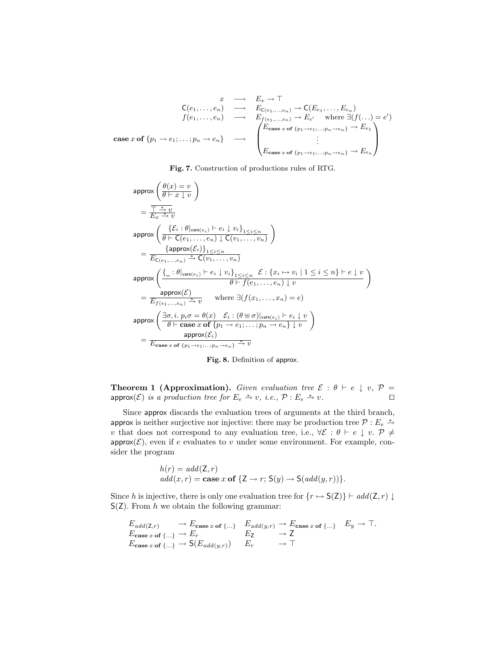$$
\begin{array}{cccc}\nx & \longrightarrow & E_x \to \top \\
\mathsf{C}(e_1, \ldots, e_n) & \longrightarrow & E_{\mathsf{C}(e_1, \ldots, e_n)} \to \mathsf{C}(E_{e_1}, \ldots, E_{e_n}) \\
f(e_1, \ldots, e_n) & \longrightarrow & E_{f(e_1, \ldots, e_n)} \to E_{e'} \quad \text{where } \exists (f(\ldots) = e') \\
\text{case } x \text{ of } \{p_1 \to e_1; \ldots; p_n \to e_n\} & \vdots \\
\downarrow & \downarrow & \downarrow \\
E_{\text{case } x \text{ of } \{p_1 \to e_1; \ldots; p_n \to e_n\}} \to E_{e_n}\n\end{array}
$$

**Fig. 7.** Construction of productions rules of RTG.

$$
\begin{aligned}\n&\text{approx}\left(\frac{\theta(x) = v}{\theta \vdash x \downarrow v}\right) \\
&= \frac{\frac{x}{\prod_{i} \to v}{\sum_{i} \to v}}{\frac{x}{\theta \vdash C(e_1, \dots, e_n) \downarrow C(v_1, \dots, v_n)}}\right) \\
&= \frac{\left\{\text{approx}\left(\mathcal{E}_i : \theta|_{\text{vars}(e_i)} \vdash e_i \downarrow v_i\right\}_{1 \leq i \leq n}}{\frac{x}{\sum_{i} (e_1, \dots, e_n) \to (v_1, \dots, v_n)}}\right) \\
&\text{approx}\left(\frac{\left\{\dots \theta|_{\text{vars}(e_i)} \vdash e_i \downarrow v_i\right\}_{1 \leq i \leq n} \mathcal{E} : \{x_i \mapsto v_i \mid 1 \leq i \leq n\} \vdash e \downarrow v}{\theta \vdash f(e_1, \dots, e_n) \downarrow v}\right) \\
&= \frac{\text{approx}(\mathcal{E})}{E_{f(e_1, \dots, e_n) \xrightarrow{x} v}} \quad \text{where } \exists (f(x_1, \dots, x_n) = e) \\
&\text{approx}\left(\frac{\exists \sigma, i. p_i \sigma = \theta(x) \quad \mathcal{E}_i : (\theta \uplus \sigma)|_{\text{vars}(e_i)} \vdash e_i \downarrow v}{\theta \vdash \text{case } x \text{ of } \{p_1 \to e_1, \dots, p_n \to e_n\} \downarrow v}\right) \\
&= \frac{\text{approx}(\mathcal{E}_i)}{\mathcal{E}_{\text{case } x \text{ of } \{p_1 \to e_1, \dots, p_n \to e_n\} \xrightarrow{x} v}}\n\end{aligned}
$$

**Fig. 8.** Definition of approx.

**Theorem 1 (Approximation).** *Given evaluation tree*  $\mathcal{E}$  :  $\theta$   $\vdash$   $e \downarrow v$ ,  $\mathcal{P}$  =  $\Box$  approx(*E*) *is a production tree for*  $E_e \stackrel{*}{\rightarrow} v$ *, <i>i.e.*,  $\mathcal{P}: E_e \stackrel{*}{\rightarrow} v$ .

Since approx discards the evaluation trees of arguments at the third branch, approx is neither surjective nor injective: there may be production tree  $P: E_e \overset{*}{\to}$ *v* that does not correspond to any evaluation tree, i.e.,  $\forall \mathcal{E} : \theta \vdash e \downarrow v$ .  $\mathcal{P} \neq$  $approx(\mathcal{E})$ , even if *e* evaluates to *v* under some environment. For example, consider the program

$$
h(r) = add(Z, r)
$$
  

$$
add(x, r) = \text{case } x \text{ of } \{Z \rightarrow r; S(y) \rightarrow S(add(y, r))\}.
$$

Since *h* is injective, there is only one evaluation tree for  $\{r \mapsto S(Z)\} \vdash add(Z, r) \downarrow$ S(Z). From *h* we obtain the following grammar:

$$
E_{add(Z,r)} \longrightarrow E_{\text{case }x \text{ of } \{\dots\}} \quad E_{add(y,r)} \to E_{\text{case }x \text{ of } \{\dots\}} \quad E_y \to \top.
$$
  
\n
$$
E_{\text{case }x \text{ of } \{\dots\}} \to E_r \quad E_Z \longrightarrow Z
$$
  
\n
$$
E_{\text{case }x \text{ of } \{\dots\}} \to S(E_{add(y,r)}) \quad E_r \longrightarrow \top
$$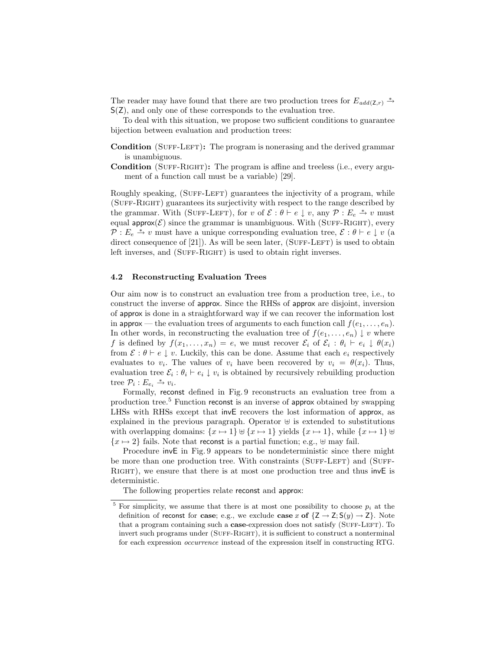The reader may have found that there are two production trees for  $E_{add(Z,r)} \rightarrow$ S(Z), and only one of these corresponds to the evaluation tree.

To deal with this situation, we propose two sufficient conditions to guarantee bijection between evaluation and production trees:

- **Condition** (SUFF-LEFT): The program is nonerasing and the derived grammar is unambiguous.
- **Condition** (SUFF-RIGHT): The program is affine and treeless (i.e., every argument of a function call must be a variable) [29].

Roughly speaking, (SUFF-LEFT) guarantees the injectivity of a program, while (SUFF-RIGHT) guarantees its surjectivity with respect to the range described by the grammar. With (SUFF-LEFT), for *v* of  $\mathcal{E} : \theta \vdash e \downarrow v$ , any  $\mathcal{P} : E_e \stackrel{*}{\to} v$  must equal approx $(\mathcal{E})$  since the grammar is unambiguous. With (SUFF-RIGHT), every  $P: E_e \stackrel{*}{\to} v$  must have a unique corresponding evaluation tree,  $\mathcal{E}: \theta \vdash e \downarrow v$  (a direct consequence of  $[21]$ ). As will be seen later, (SUFF-LEFT) is used to obtain left inverses, and (SUFF-RIGHT) is used to obtain right inverses.

#### **4.2 Reconstructing Evaluation Trees**

Our aim now is to construct an evaluation tree from a production tree, i.e., to construct the inverse of approx. Since the RHSs of approx are disjoint, inversion of approx is done in a straightforward way if we can recover the information lost in approx — the evaluation trees of arguments to each function call  $f(e_1, \ldots, e_n)$ . In other words, in reconstructing the evaluation tree of  $f(e_1, \ldots, e_n) \downarrow v$  where *f* is defined by  $f(x_1, \ldots, x_n) = e$ , we must recover  $\mathcal{E}_i$  of  $\mathcal{E}_i : \theta_i \vdash e_i \downarrow \theta(x_i)$ from  $\mathcal{E}: \theta \vdash e \downarrow v$ . Luckily, this can be done. Assume that each  $e_i$  respectively evaluates to  $v_i$ . The values of  $v_i$  have been recovered by  $v_i = \theta(x_i)$ . Thus, evaluation tree  $\mathcal{E}_i$ :  $\theta_i \vdash e_i \downarrow v_i$  is obtained by recursively rebuilding production tree  $\mathcal{P}_i: E_{e_i} \rightarrow v_i$ .

Formally, reconst defined in Fig. 9 reconstructs an evaluation tree from a production tree.<sup>5</sup> Function reconst is an inverse of approx obtained by swapping LHSs with RHSs except that invE recovers the lost information of approx, as explained in the previous paragraph. Operator  $\forall$  is extended to substitutions with overlapping domains:  $\{x \mapsto 1\} \oplus \{x \mapsto 1\}$  yields  $\{x \mapsto 1\}$ , while  $\{x \mapsto 1\} \oplus$  ${x \mapsto 2}$  fails. Note that reconst is a partial function; e.g.,  $\uplus$  may fail.

Procedure invE in Fig. 9 appears to be nondeterministic since there might be more than one production tree. With constraints (SUFF-LEFT) and (SUFF-Right), we ensure that there is at most one production tree and thus invE is deterministic.

The following properties relate reconst and approx:

<sup>&</sup>lt;sup>5</sup> For simplicity, we assume that there is at most one possibility to choose  $p_i$  at the definition of **reconst** for **case**; e.g., we exclude **case** *x* **of**  $\{Z \rightarrow Z; S(y) \rightarrow Z\}$ . Note that a program containing such a **case**-expression does not satisfy (SUFF-LEFT). To invert such programs under (SUFF-RIGHT), it is sufficient to construct a nonterminal for each expression *occurrence* instead of the expression itself in constructing RTG.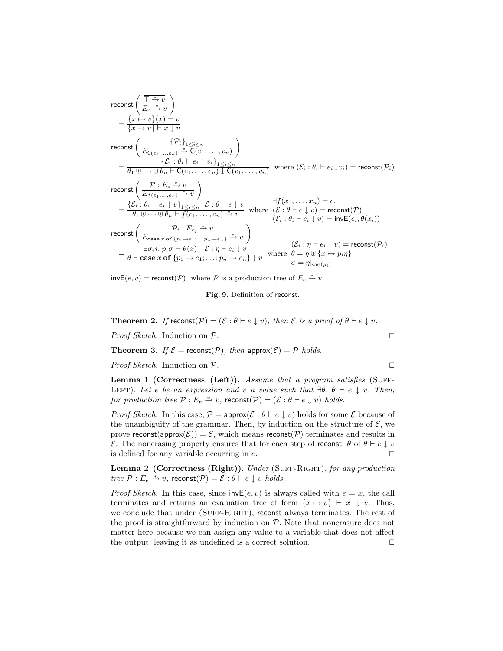$$
\begin{aligned}\n\text{reconst} & \left( \frac{\overline{1 + v}}{E_x \stackrel{*}{\rightarrow} v} \right) \\
&= \frac{\{x \mapsto v\}(x) = v}{\{x \mapsto v\} \mid x \downarrow v} \\
\text{reconst} & \left( \frac{\{P_i\}_{1 \leq i \leq n}}{E_{\mathsf{C}(e_1, \ldots, e_n)} \stackrel{*}{\rightarrow} \mathsf{C}(v_1, \ldots, v_n)} \right) \\
&= \frac{\{\mathcal{E}_i : \theta_i \vdash e_i \downarrow v_i\}_{1 \leq i \leq n}}{\theta_1 \uplus \cdots \uplus \theta_n \vdash \mathsf{C}(e_1, \ldots, e_n) \downarrow \mathsf{C}(v_1, \ldots, v_n)} \text{ where } (\mathcal{E}_i : \theta_i \vdash e_i \downarrow v_i) = \text{reconst}(\mathcal{P}_i) \\
\text{reconst} & \left( \frac{\mathcal{P} : E_e \stackrel{*}{\rightarrow} v}{E_{f(e_1, \ldots, e_n)} \stackrel{*}{\rightarrow} v} \right) \\
&= \frac{\{\mathcal{E}_i : \theta_i \vdash e_i \downarrow v\}_{1 \leq i \leq n}}{\theta_1 \uplus \cdots \uplus \theta_n \vdash f(e_1, \ldots, e_n) \stackrel{*}{\rightarrow} v} \text{ where } (\mathcal{E} : \theta \vdash e \downarrow v) = \text{reconst}(\mathcal{P}) \\
& (\mathcal{E}_i : \theta_i \vdash e_i \downarrow v) = \text{inv}\mathsf{E}(e_i, \theta(x_i)) \\
\text{reconst} & \left( \frac{\mathcal{P}_i : E_{e_i} \stackrel{*}{\rightarrow} v}{E_{\text{case } x \text{ of } \{p_1 \to e_1, \ldots; p_n \to e_n\}} \stackrel{*}{\rightarrow} v} \right) \\
&= \frac{\exists \sigma, i. \ p_i \sigma = \theta(x) \quad \mathcal{E} : \eta \vdash e_i \downarrow v}{\theta \vdash \text{case } x \text{ of } \{p_1 \to e_1, \ldots; p_n \to e_n\} \downarrow v} \text{ where } \theta = \eta \uplus \{x \mapsto p_i \eta\} \\
& \sigma = \eta | \text{var}(p_i) \\
\end{aligned}
$$

 $invE(e, v) =$  **reconst** $(P)$  where P is a production tree of  $E_e \stackrel{*}{\rightarrow} v$ .

**Fig. 9.** Definition of reconst.

**Theorem 2.** *If*  $\mathsf{reconst}(\mathcal{P}) = (\mathcal{E} : \theta \vdash e \downarrow v)$ , then  $\mathcal{E}$  is a proof of  $\theta \vdash e \downarrow v$ .

*Proof Sketch.* Induction on *P*. □

**Theorem 3.** *If*  $\mathcal{E}$  = reconst( $\mathcal{P}$ )*, then* approx( $\mathcal{E}$ ) =  $\mathcal{P}$  *holds.* 

*Proof Sketch.* Induction on  $\mathcal{P}$ . □

Lemma 1 (Correctness (Left)). Assume that a program satisfies (SUFF-LEFT)*. Let e be an expression and v a value such that*  $\exists \theta$ *.*  $\theta \vdash e \downarrow v$ *. Then, for production tree*  $P: E_e \rightarrow v$ , **reconst** $(P) = (\mathcal{E}: \theta \vdash e \downarrow v)$  *holds.* 

*Proof Sketch.* In this case,  $P = \text{approx}(\mathcal{E} : \theta \vdash e \downarrow v)$  holds for some  $\mathcal{E}$  because of the unambiguity of the grammar. Then, by induction on the structure of  $\mathcal{E}$ , we prove reconst(approx( $\mathcal{E}$ )) =  $\mathcal{E}$ , which means reconst( $\mathcal{P}$ ) terminates and results in *E*. The nonerasing property ensures that for each step of reconst,  $\theta$  of  $\theta \vdash e \downarrow v$ is defined for any variable occurring in  $e$ .  $\Box$ 

**Lemma 2 (Correctness (Right)).** *Under* (Suff-Right)*, for any production tree*  $P: E_e \rightarrow v$ , **reconst** $(P) = \mathcal{E}: \theta \vdash e \downarrow v$  *holds.* 

*Proof Sketch.* In this case, since  $\mathsf{invE}(e, v)$  is always called with  $e = x$ , the call terminates and returns an evaluation tree of form  $\{x \mapsto v\} \vdash x \downarrow v$ . Thus, we conclude that under (SUFF-RIGHT), reconst always terminates. The rest of the proof is straightforward by induction on *P*. Note that nonerasure does not matter here because we can assign any value to a variable that does not affect the output; leaving it as undefined is a correct solution. □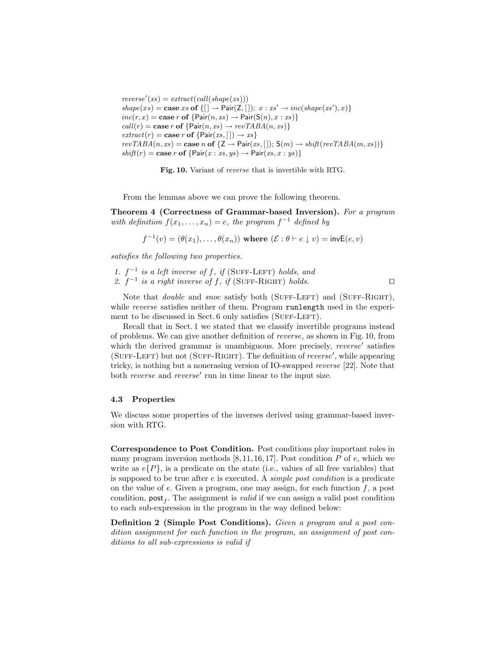```
reverse'(xs) = extract(call(shape(xs)))shape(xs) = \text{case } xs \text{ of } \{[] \rightarrow \text{Pair}(Z, []); x : xs' \rightarrow inc(shape(xs'), x) \}inc(r, x) = \text{case } r \text{ of } \{\text{Pair}(n, xs) \rightarrow \text{Pair}(S(n), x : xs)\}\text{call}(r) = \text{case } r \text{ of } \{\text{Pair}(n, xs) \rightarrow revTABA(n, xs)\}extract(r) = \text{case } r \text{ of } \{\text{Pair}(xs, [\cdot]) \rightarrow xs\}revTABA(n, xs) = \text{case } n \text{ of } \{Z \rightarrow \text{Pair}(xs, [\,]); \, S(m) \rightarrow shift(revTABA(m, xs))\}shift(r) = \text{case } r \text{ of } \{\text{Pair}(x : xs, ys) \rightarrow \text{Pair}(xs, x : ys)\}
```


From the lemmas above we can prove the following theorem.

**Theorem 4 (Correctness of Grammar-based Inversion).** *For a program with definition*  $f(x_1, \ldots, x_n) = e$ , the program  $f^{-1}$  defined by

$$
f^{-1}(v) = (\theta(x_1), \dots, \theta(x_n))
$$
 where  $(\mathcal{E} : \theta \vdash e \downarrow v) = invE(e, v)$ 

*satisfies the following two properties.*

1.  $f^{-1}$  *is a left inverse of*  $f$ *, if* (SUFF-LEFT) *holds, and 2.*  $f^{-1}$  *is a right inverse of*  $f$ *, if* (SUFF-RIGHT) *holds.* □

Note that *double* and *snoc* satisfy both (SUFF-LEFT) and (SUFF-RIGHT), while *reverse* satisfies neither of them. Program runlength used in the experiment to be discussed in Sect. 6 only satisfies (SUFF-LEFT).

Recall that in Sect. 1 we stated that we classify invertible programs instead of problems. We can give another definition of *reverse*, as shown in Fig. 10, from which the derived grammar is unambiguous. More precisely, *reverse*<sup>*'*</sup> satisfies (SUFF-LEFT) but not (SUFF-RIGHT). The definition of *reverse'*, while appearing tricky, is nothing but a nonerasing version of IO-swapped *reverse* [22]. Note that both *reverse* and *reverse'* run in time linear to the input size.

### **4.3 Properties**

We discuss some properties of the inverses derived using grammar-based inversion with RTG.

**Correspondence to Post Condition.** Post conditions play important roles in many program inversion methods [8, 11, 16, 17]. Post condition *P* of *e*, which we write as  $e\{P\}$ , is a predicate on the state (i.e., values of all free variables) that is supposed to be true after *e* is executed. A *simple post condition* is a predicate on the value of *e*. Given a program, one may assign, for each function *f*, a post condition,  $post_f$ . The assignment is *valid* if we can assign a valid post condition to each sub-expression in the program in the way defined below:

**Definition 2 (Simple Post Conditions).** *Given a program and a post condition assignment for each function in the program, an assignment of post conditions to all sub-expressions is valid if*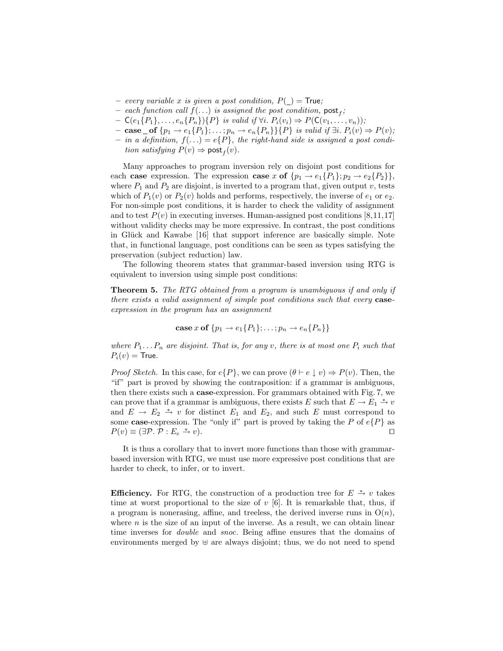- $-$  *every variable x is given a post condition,*  $P(\_) =$  True;
- $-$  *each function call*  $f(...)$  *is assigned the post condition,*  $post_f$ ;
- $C(e_1\{P_1\},\ldots,e_n\{P_n\})\{P\}$  is valid if  $\forall i. P_i(v_i) \Rightarrow P(C(v_1,\ldots,v_n));$
- $-$  case \_ of { $p_1 \rightarrow e_1\{P_1\}$ ; ...;  $p_n \rightarrow e_n\{P_n\}\{P\}$  is valid if  $\exists i$ .  $P_i(v) \Rightarrow P(v)$ ;
- $-$  *in a definition,*  $f(...) = e\{P\}$ *, the right-hand side is assigned a post condition satisfying*  $P(v) \Rightarrow \text{post}_f(v)$ *.*

Many approaches to program inversion rely on disjoint post conditions for each **case** expression. The expression **case** *x* **of**  $\{p_1 \rightarrow e_1\{P_1\}; p_2 \rightarrow e_2\{P_2\}\}\$ , where  $P_1$  and  $P_2$  are disjoint, is inverted to a program that, given output  $v$ , tests which of  $P_1(v)$  or  $P_2(v)$  holds and performs, respectively, the inverse of  $e_1$  or  $e_2$ . For non-simple post conditions, it is harder to check the validity of assignment and to test  $P(v)$  in executing inverses. Human-assigned post conditions [8,11,17] without validity checks may be more expressive. In contrast, the post conditions in Glück and Kawabe [16] that support inference are basically simple. Note that, in functional language, post conditions can be seen as types satisfying the preservation (subject reduction) law.

The following theorem states that grammar-based inversion using RTG is equivalent to inversion using simple post conditions:

**Theorem 5.** *The RTG obtained from a program is unambiguous if and only if there exists a valid assignment of simple post conditions such that every* **case***expression in the program has an assignment*

case *x* of 
$$
\{p_1 \rightarrow e_1\{P_1\}; \ldots; p_n \rightarrow e_n\{P_n\}\}\
$$

*where*  $P_1 \ldots P_n$  *are disjoint. That is, for any v, there is at most one*  $P_i$  *such that*  $P_i(v)$  = True.

*Proof Sketch.* In this case, for  $e\{P\}$ , we can prove  $(\theta \vdash e \downarrow v) \Rightarrow P(v)$ . Then, the "if" part is proved by showing the contraposition: if a grammar is ambiguous, then there exists such a **case**-expression. For grammars obtained with Fig. 7, we can prove that if a grammar is ambiguous, there exists *E* such that  $E \to E_1 \stackrel{*}{\to} v$ and  $E \rightarrow E_2 \stackrel{*}{\rightarrow} v$  for distinct  $E_1$  and  $E_2$ , and such  $E$  must correspond to some **case**-expression. The "only if" part is proved by taking the *P* of  $e\{P\}$  as  $P(v) \equiv (\exists P \cdot P : E_e \stackrel{*}{\rightarrow} v).$ 

It is thus a corollary that to invert more functions than those with grammarbased inversion with RTG, we must use more expressive post conditions that are harder to check, to infer, or to invert.

**Efficiency.** For RTG, the construction of a production tree for  $E \rightarrow v$  takes time at worst proportional to the size of  $v$  [6]. It is remarkable that, thus, if a program is nonerasing, affine, and treeless, the derived inverse runs in  $O(n)$ , where *n* is the size of an input of the inverse. As a result, we can obtain linear time inverses for *double* and *snoc*. Being affine ensures that the domains of environments merged by  $\forall$  are always disjoint; thus, we do not need to spend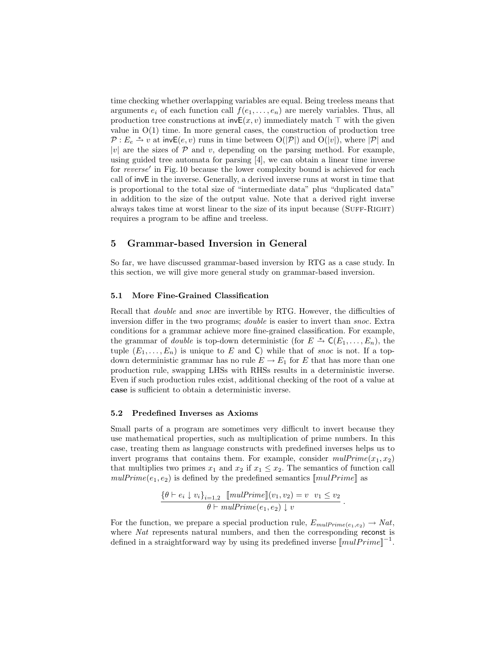time checking whether overlapping variables are equal. Being treeless means that arguments  $e_i$  of each function call  $f(e_1, \ldots, e_n)$  are merely variables. Thus, all production tree constructions at  $invE(x, v)$  immediately match  $\top$  with the given value in  $O(1)$  time. In more general cases, the construction of production tree  $P: E_e \stackrel{*}{\to} v$  at  $invE(e, v)$  runs in time between  $O(|P|)$  and  $O(|v|)$ , where  $|P|$  and  $|v|$  are the sizes of  $P$  and  $v$ , depending on the parsing method. For example, using guided tree automata for parsing [4], we can obtain a linear time inverse for *reverse*<sup>*'*</sup> in Fig. 10 because the lower complexity bound is achieved for each call of invE in the inverse. Generally, a derived inverse runs at worst in time that is proportional to the total size of "intermediate data" plus "duplicated data" in addition to the size of the output value. Note that a derived right inverse always takes time at worst linear to the size of its input because (SUFF-RIGHT) requires a program to be affine and treeless.

### **5 Grammar-based Inversion in General**

So far, we have discussed grammar-based inversion by RTG as a case study. In this section, we will give more general study on grammar-based inversion.

#### **5.1 More Fine-Grained Classification**

Recall that *double* and *snoc* are invertible by RTG. However, the difficulties of inversion differ in the two programs; *double* is easier to invert than *snoc*. Extra conditions for a grammar achieve more fine-grained classification. For example, the grammar of *double* is top-down deterministic (for  $E \triangleq \mathsf{C}(E_1, \ldots, E_n)$ , the tuple  $(E_1, \ldots, E_n)$  is unique to E and C) while that of *snoc* is not. If a topdown deterministic grammar has no rule  $E \to E_1$  for *E* that has more than one production rule, swapping LHSs with RHSs results in a deterministic inverse. Even if such production rules exist, additional checking of the root of a value at **case** is sufficient to obtain a deterministic inverse.

#### **5.2 Predefined Inverses as Axioms**

Small parts of a program are sometimes very difficult to invert because they use mathematical properties, such as multiplication of prime numbers. In this case, treating them as language constructs with predefined inverses helps us to invert programs that contains them. For example, consider  $\textit{multPrime}(x_1, x_2)$ that multiplies two primes  $x_1$  and  $x_2$  if  $x_1 \leq x_2$ . The semantics of function call  $mulPrime(e_1, e_2)$  is defined by the predefined semantics  $[mulPrime]$  as

$$
\frac{\{\theta \vdash e_i \downarrow v_i\}_{i=1,2} \quad \llbracket \textit{mulPrime} \rrbracket (v_1, v_2) = v \quad v_1 \le v_2}{\theta \vdash \textit{mulPrime}(e_1, e_2) \downarrow v}.
$$

For the function, we prepare a special production rule,  $E_{\textit{multPrime}(e_1,e_2)} \rightarrow \textit{Nat}$ , where *Nat* represents natural numbers, and then the corresponding reconst is defined in a straightforward way by using its predefined inverse  $\llbracket \textit{mulPrime} \rrbracket^{-1}$ .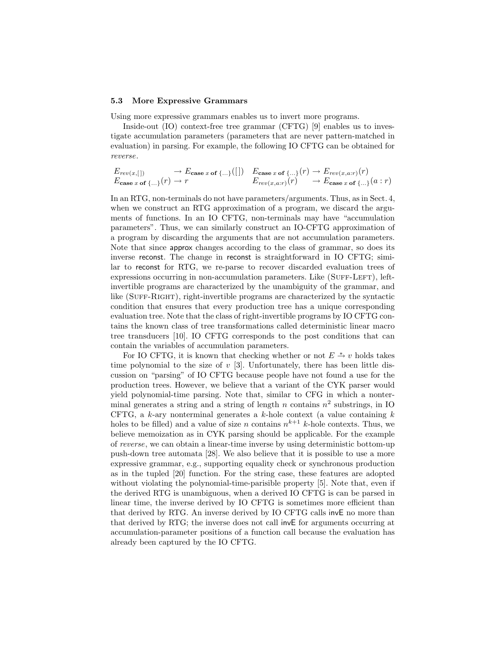#### **5.3 More Expressive Grammars**

Using more expressive grammars enables us to invert more programs.

Inside-out (IO) context-free tree grammar (CFTG) [9] enables us to investigate accumulation parameters (parameters that are never pattern-matched in evaluation) in parsing. For example, the following IO CFTG can be obtained for *reverse*.

$$
E_{rev(x,[\,])} \rightarrow E_{\text{case }x \text{ of } \{...\}}([\,]) \quad E_{\text{case }x \text{ of } \{...\}}(r) \rightarrow E_{rev(x,a:r)}(r)
$$
  

$$
E_{\text{case }x \text{ of } \{...\}}(r) \rightarrow r \quad E_{rev(x,a:r)}(r) \rightarrow E_{\text{case }x \text{ of } \{...\}}(a:r)
$$

In an RTG, non-terminals do not have parameters/arguments. Thus, as in Sect. 4, when we construct an RTG approximation of a program, we discard the arguments of functions. In an IO CFTG, non-terminals may have "accumulation parameters". Thus, we can similarly construct an IO-CFTG approximation of a program by discarding the arguments that are not accumulation parameters. Note that since approx changes according to the class of grammar, so does its inverse reconst. The change in reconst is straightforward in IO CFTG; similar to reconst for RTG, we re-parse to recover discarded evaluation trees of expressions occurring in non-accumulation parameters. Like (SUFF-LEFT), leftinvertible programs are characterized by the unambiguity of the grammar, and like (Suff-Right), right-invertible programs are characterized by the syntactic condition that ensures that every production tree has a unique corresponding evaluation tree. Note that the class of right-invertible programs by IO CFTG contains the known class of tree transformations called deterministic linear macro tree transducers [10]. IO CFTG corresponds to the post conditions that can contain the variables of accumulation parameters.

For IO CFTG, it is known that checking whether or not  $E \rightarrow v$  holds takes time polynomial to the size of *v* [3]. Unfortunately, there has been little discussion on "parsing" of IO CFTG because people have not found a use for the production trees. However, we believe that a variant of the CYK parser would yield polynomial-time parsing. Note that, similar to CFG in which a nonterminal generates a string and a string of length *n* contains *n* 2 substrings, in IO CFTG, a *k*-ary nonterminal generates a *k*-hole context (a value containing *k* holes to be filled) and a value of size *n* contains  $n^{k+1}$  *k*-hole contexts. Thus, we believe memoization as in CYK parsing should be applicable. For the example of *reverse*, we can obtain a linear-time inverse by using deterministic bottom-up push-down tree automata [28]. We also believe that it is possible to use a more expressive grammar, e.g., supporting equality check or synchronous production as in the tupled [20] function. For the string case, these features are adopted without violating the polynomial-time-parisible property [5]. Note that, even if the derived RTG is unambiguous, when a derived IO CFTG is can be parsed in linear time, the inverse derived by IO CFTG is sometimes more efficient than that derived by RTG. An inverse derived by IO CFTG calls invE no more than that derived by RTG; the inverse does not call invE for arguments occurring at accumulation-parameter positions of a function call because the evaluation has already been captured by the IO CFTG.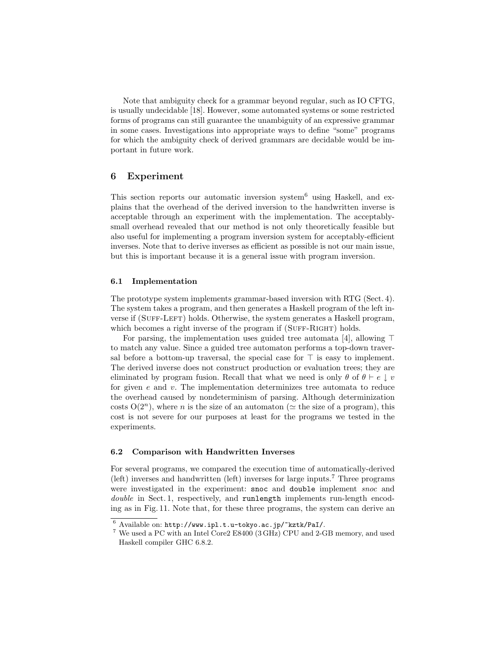Note that ambiguity check for a grammar beyond regular, such as IO CFTG, is usually undecidable [18]. However, some automated systems or some restricted forms of programs can still guarantee the unambiguity of an expressive grammar in some cases. Investigations into appropriate ways to define "some" programs for which the ambiguity check of derived grammars are decidable would be important in future work.

### **6 Experiment**

This section reports our automatic inversion system<sup>6</sup> using Haskell, and explains that the overhead of the derived inversion to the handwritten inverse is acceptable through an experiment with the implementation. The acceptablysmall overhead revealed that our method is not only theoretically feasible but also useful for implementing a program inversion system for acceptably-efficient inverses. Note that to derive inverses as efficient as possible is not our main issue, but this is important because it is a general issue with program inversion.

#### **6.1 Implementation**

The prototype system implements grammar-based inversion with RTG (Sect. 4). The system takes a program, and then generates a Haskell program of the left inverse if (Suff-Left) holds. Otherwise, the system generates a Haskell program, which becomes a right inverse of the program if (SUFF-RIGHT) holds.

For parsing, the implementation uses guided tree automata [4], allowing *>* to match any value. Since a guided tree automaton performs a top-down traversal before a bottom-up traversal, the special case for  $\top$  is easy to implement. The derived inverse does not construct production or evaluation trees; they are eliminated by program fusion. Recall that what we need is only  $\theta$  of  $\theta \vdash e \downharpoonright v$ for given *e* and *v*. The implementation determinizes tree automata to reduce the overhead caused by nondeterminism of parsing. Although determinization costs  $O(2^n)$ , where *n* is the size of an automaton ( $\simeq$  the size of a program), this cost is not severe for our purposes at least for the programs we tested in the experiments.

#### **6.2 Comparison with Handwritten Inverses**

For several programs, we compared the execution time of automatically-derived (left) inverses and handwritten (left) inverses for large inputs.<sup>7</sup> Three programs were investigated in the experiment: snoc and double implement *snoc* and *double* in Sect. 1, respectively, and runlength implements run-length encoding as in Fig. 11. Note that, for these three programs, the system can derive an

<sup>6</sup> Available on: http://www.ipl.t.u-tokyo.ac.jp/~kztk/PaI/.

<sup>7</sup> We used a PC with an Intel Core2 E8400 (3 GHz) CPU and 2-GB memory, and used Haskell compiler GHC 6.8.2.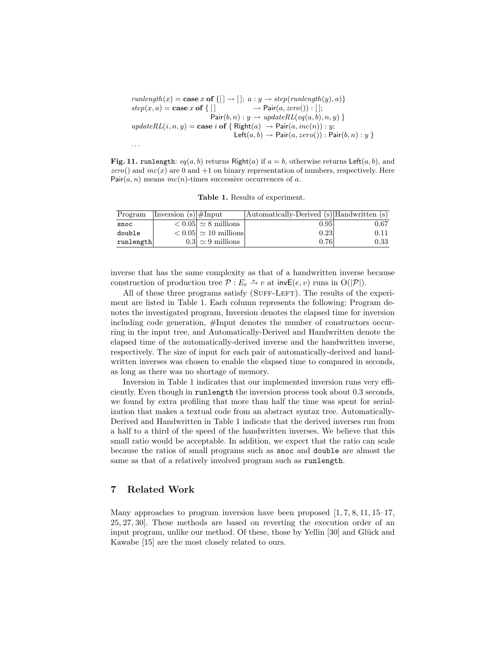```
runlength(x) = \cose{x} of \{[] \rightarrow []; a : y \rightarrow step(runlength(y), a)\}step(x, a) = \text{case } x \text{ of } \{ [] \rightarrow Pair(a, zero()) : [];
                                   Pair(b, n) : y \rightarrow updateRL(eq(a, b), n, y)updateRL(i, n, y) = \text{case } i \text{ of } \{ \text{ Right}(a) \rightarrow \text{Pair}(a, inc(n)) : y;Left(a, b) \rightarrow \text{Pair}(a, zero()): \text{Pair}(b, n): y. . .
```
**Fig. 11.** runlength:  $eq(a, b)$  returns Right(*a*) if  $a = b$ , otherwise returns Left(*a, b*), and *zero*() and  $inc(x)$  are 0 and +1 on binary representation of numbers, respectively. Here Pair $(a, n)$  means  $inc(n)$ -times successive occurrences of *a*.

**Table 1.** Results of experiment.

| Program   | Inversion $(s)$ #Input |                                | $[Automatically-Derived (s)]$ Handwritten (s) |      |
|-----------|------------------------|--------------------------------|-----------------------------------------------|------|
| snoc      |                        | $< 0.05$ $\approx 8$ millions  | 0.95                                          | 0.67 |
| double    |                        | $< 0.05$ $\approx 10$ millions | 0.23                                          | 0.11 |
| runlength |                        | $0.3 \simeq 9$ millions        | 0.76                                          | 0.33 |

inverse that has the same complexity as that of a handwritten inverse because construction of production tree  $P: E_e \rightarrow v$  at  $invE(e, v)$  runs in  $O(|P|)$ .

All of these three programs satisfy (SUFF-LEFT). The results of the experiment are listed in Table 1. Each column represents the following: Program denotes the investigated program, Inversion denotes the elapsed time for inversion including code generation, #Input denotes the number of constructors occurring in the input tree, and Automatically-Derived and Handwritten denote the elapsed time of the automatically-derived inverse and the handwritten inverse, respectively. The size of input for each pair of automatically-derived and handwritten inverses was chosen to enable the elapsed time to compared in seconds, as long as there was no shortage of memory.

Inversion in Table 1 indicates that our implemented inversion runs very efficiently. Even though in runlength the inversion process took about 0.3 seconds, we found by extra profiling that more than half the time was spent for serialization that makes a textual code from an abstract syntax tree. Automatically-Derived and Handwritten in Table 1 indicate that the derived inverses run from a half to a third of the speed of the handwritten inverses. We believe that this small ratio would be acceptable. In addition, we expect that the ratio can scale because the ratios of small programs such as snoc and double are almost the same as that of a relatively involved program such as runlength.

# **7 Related Work**

Many approaches to program inversion have been proposed  $\left[1, 7, 8, 11, 15-17, \right]$ 25, 27, 30]. These methods are based on reverting the execution order of an input program, unlike our method. Of these, those by Yellin [30] and Glück and Kawabe [15] are the most closely related to ours.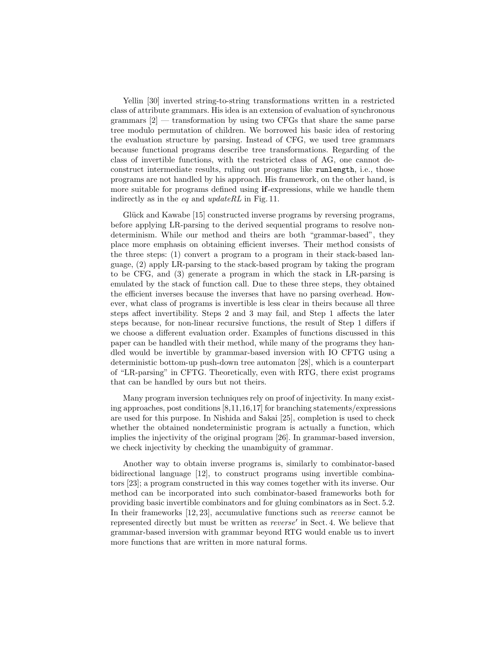Yellin [30] inverted string-to-string transformations written in a restricted class of attribute grammars. His idea is an extension of evaluation of synchronous grammars [2] — transformation by using two CFGs that share the same parse tree modulo permutation of children. We borrowed his basic idea of restoring the evaluation structure by parsing. Instead of CFG, we used tree grammars because functional programs describe tree transformations. Regarding of the class of invertible functions, with the restricted class of AG, one cannot deconstruct intermediate results, ruling out programs like runlength, i.e., those programs are not handled by his approach. His framework, on the other hand, is more suitable for programs defined using **if**-expressions, while we handle them indirectly as in the *eq* and *updateRL* in Fig. 11.

Glück and Kawabe [15] constructed inverse programs by reversing programs, before applying LR-parsing to the derived sequential programs to resolve nondeterminism. While our method and theirs are both "grammar-based", they place more emphasis on obtaining efficient inverses. Their method consists of the three steps: (1) convert a program to a program in their stack-based language, (2) apply LR-parsing to the stack-based program by taking the program to be CFG, and (3) generate a program in which the stack in LR-parsing is emulated by the stack of function call. Due to these three steps, they obtained the efficient inverses because the inverses that have no parsing overhead. However, what class of programs is invertible is less clear in theirs because all three steps affect invertibility. Steps 2 and 3 may fail, and Step 1 affects the later steps because, for non-linear recursive functions, the result of Step 1 differs if we choose a different evaluation order. Examples of functions discussed in this paper can be handled with their method, while many of the programs they handled would be invertible by grammar-based inversion with IO CFTG using a deterministic bottom-up push-down tree automaton [28], which is a counterpart of "LR-parsing" in CFTG. Theoretically, even with RTG, there exist programs that can be handled by ours but not theirs.

Many program inversion techniques rely on proof of injectivity. In many existing approaches, post conditions [8,11,16,17] for branching statements/expressions are used for this purpose. In Nishida and Sakai [25], completion is used to check whether the obtained nondeterministic program is actually a function, which implies the injectivity of the original program [26]. In grammar-based inversion, we check injectivity by checking the unambiguity of grammar.

Another way to obtain inverse programs is, similarly to combinator-based bidirectional language [12], to construct programs using invertible combinators [23]; a program constructed in this way comes together with its inverse. Our method can be incorporated into such combinator-based frameworks both for providing basic invertible combinators and for gluing combinators as in Sect. 5.2. In their frameworks [12, 23], accumulative functions such as *reverse* cannot be represented directly but must be written as *reverse'* in Sect. 4. We believe that grammar-based inversion with grammar beyond RTG would enable us to invert more functions that are written in more natural forms.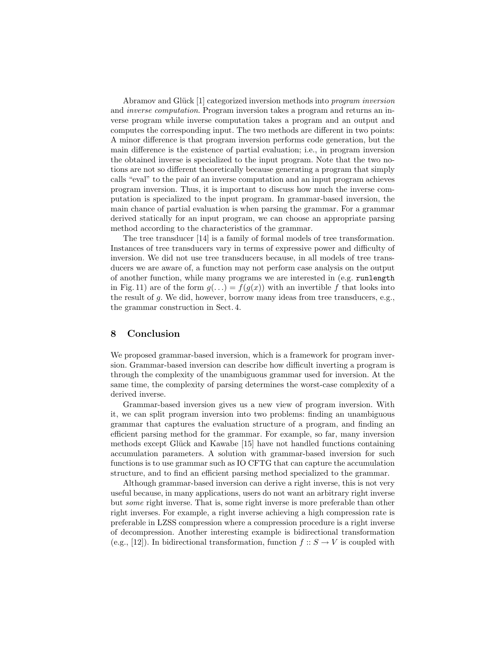Abramov and Glück [1] categorized inversion methods into *program inversion* and *inverse computation*. Program inversion takes a program and returns an inverse program while inverse computation takes a program and an output and computes the corresponding input. The two methods are different in two points: A minor difference is that program inversion performs code generation, but the main difference is the existence of partial evaluation; i.e., in program inversion the obtained inverse is specialized to the input program. Note that the two notions are not so different theoretically because generating a program that simply calls "eval" to the pair of an inverse computation and an input program achieves program inversion. Thus, it is important to discuss how much the inverse computation is specialized to the input program. In grammar-based inversion, the main chance of partial evaluation is when parsing the grammar. For a grammar derived statically for an input program, we can choose an appropriate parsing method according to the characteristics of the grammar.

The tree transducer [14] is a family of formal models of tree transformation. Instances of tree transducers vary in terms of expressive power and difficulty of inversion. We did not use tree transducers because, in all models of tree transducers we are aware of, a function may not perform case analysis on the output of another function, while many programs we are interested in (e.g. runlength in Fig. 11) are of the form  $g(...) = f(g(x))$  with an invertible f that looks into the result of *g*. We did, however, borrow many ideas from tree transducers, e.g., the grammar construction in Sect. 4.

### **8 Conclusion**

We proposed grammar-based inversion, which is a framework for program inversion. Grammar-based inversion can describe how difficult inverting a program is through the complexity of the unambiguous grammar used for inversion. At the same time, the complexity of parsing determines the worst-case complexity of a derived inverse.

Grammar-based inversion gives us a new view of program inversion. With it, we can split program inversion into two problems: finding an unambiguous grammar that captures the evaluation structure of a program, and finding an efficient parsing method for the grammar. For example, so far, many inversion methods except Glück and Kawabe [15] have not handled functions containing accumulation parameters. A solution with grammar-based inversion for such functions is to use grammar such as IO CFTG that can capture the accumulation structure, and to find an efficient parsing method specialized to the grammar.

Although grammar-based inversion can derive a right inverse, this is not very useful because, in many applications, users do not want an arbitrary right inverse but *some* right inverse. That is, some right inverse is more preferable than other right inverses. For example, a right inverse achieving a high compression rate is preferable in LZSS compression where a compression procedure is a right inverse of decompression. Another interesting example is bidirectional transformation (e.g., [12]). In bidirectional transformation, function  $f: S \to V$  is coupled with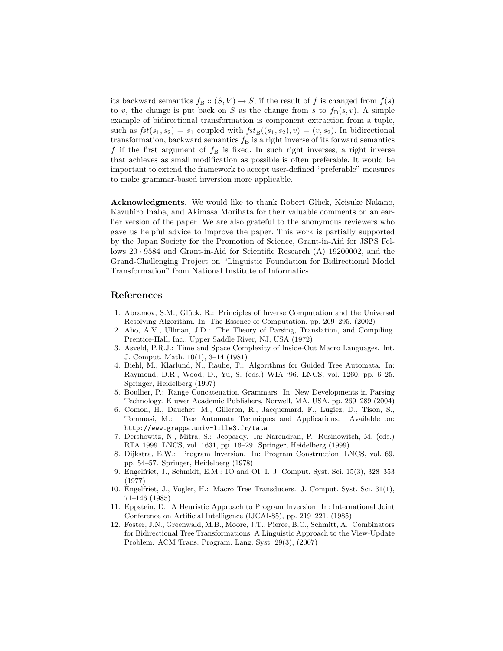its backward semantics  $f_B$  ::  $(S, V) \rightarrow S$ ; if the result of f is changed from  $f(s)$ to *v*, the change is put back on *S* as the change from *s* to  $f_B(s, v)$ . A simple example of bidirectional transformation is component extraction from a tuple, such as  $fst(s_1, s_2) = s_1$  coupled with  $fst_B((s_1, s_2), v) = (v, s_2)$ . In bidirectional transformation, backward semantics  $f_B$  is a right inverse of its forward semantics  $f$  if the first argument of  $f_B$  is fixed. In such right inverses, a right inverse that achieves as small modification as possible is often preferable. It would be important to extend the framework to accept user-defined "preferable" measures to make grammar-based inversion more applicable.

Acknowledgments. We would like to thank Robert Glück, Keisuke Nakano, Kazuhiro Inaba, and Akimasa Morihata for their valuable comments on an earlier version of the paper. We are also grateful to the anonymous reviewers who gave us helpful advice to improve the paper. This work is partially supported by the Japan Society for the Promotion of Science, Grant-in-Aid for JSPS Fellows 20 *·* 9584 and Grant-in-Aid for Scientific Research (A) 19200002, and the Grand-Challenging Project on "Linguistic Foundation for Bidirectional Model Transformation" from National Institute of Informatics.

### **References**

- 1. Abramov, S.M., Glück, R.: Principles of Inverse Computation and the Universal Resolving Algorithm. In: The Essence of Computation, pp. 269–295. (2002)
- 2. Aho, A.V., Ullman, J.D.: The Theory of Parsing, Translation, and Compiling. Prentice-Hall, Inc., Upper Saddle River, NJ, USA (1972)
- 3. Asveld, P.R.J.: Time and Space Complexity of Inside-Out Macro Languages. Int. J. Comput. Math. 10(1), 3–14 (1981)
- 4. Biehl, M., Klarlund, N., Rauhe, T.: Algorithms for Guided Tree Automata. In: Raymond, D.R., Wood, D., Yu, S. (eds.) WIA '96. LNCS, vol. 1260, pp. 6–25. Springer, Heidelberg (1997)
- 5. Boullier, P.: Range Concatenation Grammars. In: New Developments in Parsing Technology. Kluwer Academic Publishers, Norwell, MA, USA. pp. 269–289 (2004)
- 6. Comon, H., Dauchet, M., Gilleron, R., Jacquemard, F., Lugiez, D., Tison, S., Tommasi, M.: Tree Automata Techniques and Applications. Available on: http://www.grappa.univ-lille3.fr/tata
- 7. Dershowitz, N., Mitra, S.: Jeopardy. In: Narendran, P., Rusinowitch, M. (eds.) RTA 1999. LNCS, vol. 1631, pp. 16–29. Springer, Heidelberg (1999)
- 8. Dijkstra, E.W.: Program Inversion. In: Program Construction. LNCS, vol. 69, pp. 54–57. Springer, Heidelberg (1978)
- 9. Engelfriet, J., Schmidt, E.M.: IO and OI. I. J. Comput. Syst. Sci. 15(3), 328–353 (1977)
- 10. Engelfriet, J., Vogler, H.: Macro Tree Transducers. J. Comput. Syst. Sci. 31(1), 71–146 (1985)
- 11. Eppstein, D.: A Heuristic Approach to Program Inversion. In: International Joint Conference on Artificial Intelligence (IJCAI-85), pp. 219–221. (1985)
- 12. Foster, J.N., Greenwald, M.B., Moore, J.T., Pierce, B.C., Schmitt, A.: Combinators for Bidirectional Tree Transformations: A Linguistic Approach to the View-Update Problem. ACM Trans. Program. Lang. Syst. 29(3), (2007)